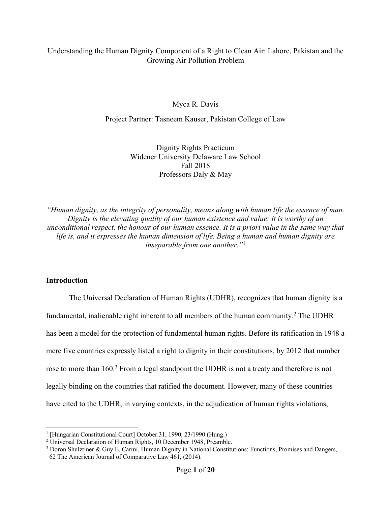# Understanding the Human Dignity Component of a Right to Clean Air: Lahore, Pakistan and the Growing Air Pollution Problem

Myca R. Davis

Project Partner: Tasneem Kauser, Pakistan College of Law

Dignity Rights Practicum Widener University Delaware Law School Fall 2018 Professors Daly & May

*"Human dignity, as the integrity of personality, means along with human life the essence of man. Dignity is the elevating quality of our human existence and value: it is worthy of an unconditional respect, the honour of our human essence. It is a priori value in the same way that life is, and it expresses the human dimension of life. Being a human and human dignity are inseparable from one another."*<sup>1</sup>

## **Introduction**

The Universal Declaration of Human Rights (UDHR), recognizes that human dignity is a fundamental, inalienable right inherent to all members of the human community.<sup>2</sup> The UDHR has been a model for the protection of fundamental human rights. Before its ratification in 1948 a mere five countries expressly listed a right to dignity in their constitutions, by 2012 that number rose to more than 160.<sup>3</sup> From a legal standpoint the UDHR is not a treaty and therefore is not legally binding on the countries that ratified the document. However, many of these countries have cited to the UDHR, in varying contexts, in the adjudication of human rights violations,

<sup>&</sup>lt;sup>1</sup> [Hungarian Constitutional Court] October 31, 1990, 23/1990 (Hung.)

<sup>&</sup>lt;sup>2</sup> Universal Declaration of Human Rights, 10 December 1948, Preamble.

<sup>3</sup> Doron Shulztiner & Guy E. Carmi, Human Dignity in National Constitutions: Functions, Promises and Dangers, 62 The American Journal of Comparative Law 461, (2014).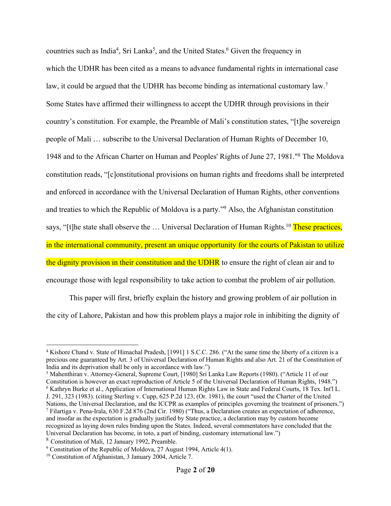countries such as India<sup>4</sup>, Sri Lanka<sup>5</sup>, and the United States.<sup>6</sup> Given the frequency in which the UDHR has been cited as a means to advance fundamental rights in international case law, it could be argued that the UDHR has become binding as international customary law.<sup>7</sup> Some States have affirmed their willingness to accept the UDHR through provisions in their country's constitution. For example, the Preamble of Mali's constitution states, "[t]he sovereign people of Mali … subscribe to the Universal Declaration of Human Rights of December 10, 1948 and to the African Charter on Human and Peoples' Rights of June 27, 1981."8 The Moldova constitution reads, "[c]onstitutional provisions on human rights and freedoms shall be interpreted and enforced in accordance with the Universal Declaration of Human Rights, other conventions and treaties to which the Republic of Moldova is a party."9 Also, the Afghanistan constitution says, "[t]he state shall observe the ... Universal Declaration of Human Rights.<sup>10</sup> These practices, in the international community, present an unique opportunity for the courts of Pakistan to utilize the dignity provision in their constitution and the UDHR to ensure the right of clean air and to encourage those with legal responsibility to take action to combat the problem of air pollution.

This paper will first, briefly explain the history and growing problem of air pollution in the city of Lahore, Pakistan and how this problem plays a major role in inhibiting the dignity of

J. 291, 323 (1983). (citing Sterling v. Cupp, 625 P.2d 123, (Or. 1981), the court "used the Charter of the United Nations, the Universal Declaration, and the ICCPR as examples of principles governing the treatment of prisoners.") <sup>7</sup> Filartiga v. Pena-Irala, 630 F.2d 876 (2nd Cir. 1980) ("Thus, a Declaration creates an expectation of adherence, and insofar as the expectation is gradually justified by State practice, a declaration may by custom become recognized as laying down rules binding upon the States. Indeed, several commentators have concluded that the Universal Declaration has become, in toto, a part of binding, customary international law.")

<sup>8</sup> Constitution of Mali, 12 January 1992, Preamble.

 <sup>4</sup> Kishore Chand v. State of Himachal Pradesh, [1991] 1 S.C.C. 286. ("At the same time the liberty of a citizen is a precious one guaranteed by Art. 3 of Universal Declaration of Human Rights and also Art. 21 of the Constitution of India and its deprivation shall be only in accordance with law.")

<sup>5</sup> Mahenthiran v. Attorney-General, Supreme Court, [1980] Sri Lanka Law Reports (1980). ("Article 11 of our Constitution is however an exact reproduction of Article 5 of the Universal Declaration of Human Rights, 1948.") <sup>6</sup> Kathryn Burke et al., Application of International Human Rights Law in State and Federal Courts, 18 Tex. Int'l L.

<sup>9</sup> Constitution of the Republic of Moldova, 27 August 1994, Article 4(1).

<sup>&</sup>lt;sup>10</sup> Constitution of Afghanistan, 3 January 2004, Article 7.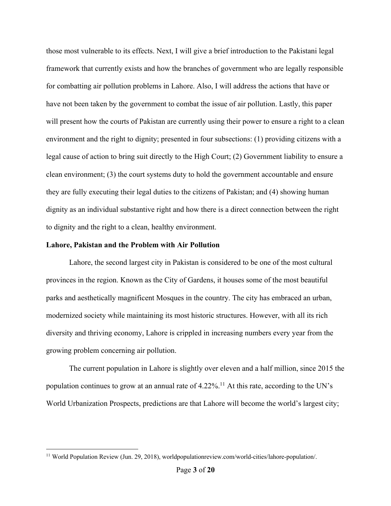those most vulnerable to its effects. Next, I will give a brief introduction to the Pakistani legal framework that currently exists and how the branches of government who are legally responsible for combatting air pollution problems in Lahore. Also, I will address the actions that have or have not been taken by the government to combat the issue of air pollution. Lastly, this paper will present how the courts of Pakistan are currently using their power to ensure a right to a clean environment and the right to dignity; presented in four subsections: (1) providing citizens with a legal cause of action to bring suit directly to the High Court; (2) Government liability to ensure a clean environment; (3) the court systems duty to hold the government accountable and ensure they are fully executing their legal duties to the citizens of Pakistan; and (4) showing human dignity as an individual substantive right and how there is a direct connection between the right to dignity and the right to a clean, healthy environment.

#### **Lahore, Pakistan and the Problem with Air Pollution**

Lahore, the second largest city in Pakistan is considered to be one of the most cultural provinces in the region. Known as the City of Gardens, it houses some of the most beautiful parks and aesthetically magnificent Mosques in the country. The city has embraced an urban, modernized society while maintaining its most historic structures. However, with all its rich diversity and thriving economy, Lahore is crippled in increasing numbers every year from the growing problem concerning air pollution.

The current population in Lahore is slightly over eleven and a half million, since 2015 the population continues to grow at an annual rate of  $4.22\%$ .<sup>11</sup> At this rate, according to the UN's World Urbanization Prospects, predictions are that Lahore will become the world's largest city;

<sup>&</sup>lt;sup>11</sup> World Population Review (Jun. 29, 2018), worldpopulationreview.com/world-cities/lahore-population/.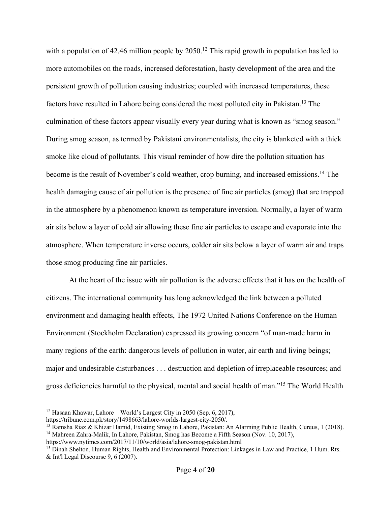with a population of 42.46 million people by 2050.<sup>12</sup> This rapid growth in population has led to more automobiles on the roads, increased deforestation, hasty development of the area and the persistent growth of pollution causing industries; coupled with increased temperatures, these factors have resulted in Lahore being considered the most polluted city in Pakistan.13 The culmination of these factors appear visually every year during what is known as "smog season." During smog season, as termed by Pakistani environmentalists, the city is blanketed with a thick smoke like cloud of pollutants. This visual reminder of how dire the pollution situation has become is the result of November's cold weather, crop burning, and increased emissions.<sup>14</sup> The health damaging cause of air pollution is the presence of fine air particles (smog) that are trapped in the atmosphere by a phenomenon known as temperature inversion. Normally, a layer of warm air sits below a layer of cold air allowing these fine air particles to escape and evaporate into the atmosphere. When temperature inverse occurs, colder air sits below a layer of warm air and traps those smog producing fine air particles.

At the heart of the issue with air pollution is the adverse effects that it has on the health of citizens. The international community has long acknowledged the link between a polluted environment and damaging health effects, The 1972 United Nations Conference on the Human Environment (Stockholm Declaration) expressed its growing concern "of man-made harm in many regions of the earth: dangerous levels of pollution in water, air earth and living beings; major and undesirable disturbances . . . destruction and depletion of irreplaceable resources; and gross deficiencies harmful to the physical, mental and social health of man."15 The World Health

<sup>&</sup>lt;sup>12</sup> Hasaan Khawar, Lahore – World's Largest City in 2050 (Sep.  $6$ , 2017),

https://tribune.com.pk/story/1498663/lahore-worlds-largest-city-2050/.

<sup>13</sup> Ramsha Riaz & Khizar Hamid, Existing Smog in Lahore, Pakistan: An Alarming Public Health, Cureus, 1 (2018). <sup>14</sup> Mahreen Zahra-Malik, In Lahore, Pakistan, Smog has Become a Fifth Season (Nov. 10, 2017),

https://www.nytimes.com/2017/11/10/world/asia/lahore-smog-pakistan.html

<sup>15</sup> Dinah Shelton, Human Rights, Health and Environmental Protection: Linkages in Law and Practice, 1 Hum. Rts. & Int'l Legal Discourse 9, 6 (2007).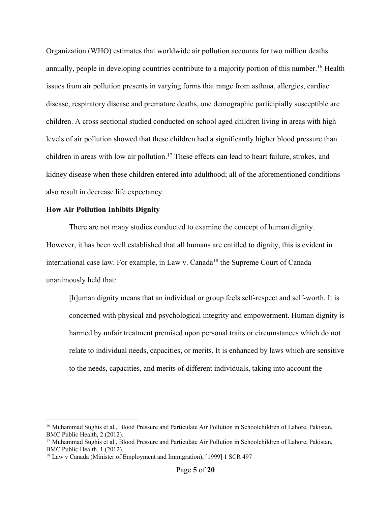Organization (WHO) estimates that worldwide air pollution accounts for two million deaths annually, people in developing countries contribute to a majority portion of this number.<sup>16</sup> Health issues from air pollution presents in varying forms that range from asthma, allergies, cardiac disease, respiratory disease and premature deaths, one demographic participially susceptible are children. A cross sectional studied conducted on school aged children living in areas with high levels of air pollution showed that these children had a significantly higher blood pressure than children in areas with low air pollution.<sup>17</sup> These effects can lead to heart failure, strokes, and kidney disease when these children entered into adulthood; all of the aforementioned conditions also result in decrease life expectancy.

### **How Air Pollution Inhibits Dignity**

There are not many studies conducted to examine the concept of human dignity. However, it has been well established that all humans are entitled to dignity, this is evident in international case law. For example, in Law v. Canada<sup>18</sup> the Supreme Court of Canada unanimously held that:

[h]uman dignity means that an individual or group feels self-respect and self-worth. It is concerned with physical and psychological integrity and empowerment. Human dignity is harmed by unfair treatment premised upon personal traits or circumstances which do not relate to individual needs, capacities, or merits. It is enhanced by laws which are sensitive to the needs, capacities, and merits of different individuals, taking into account the

<sup>&</sup>lt;sup>16</sup> Muhammad Sughis et al., Blood Pressure and Particulate Air Pollution in Schoolchildren of Lahore, Pakistan, BMC Public Health, 2 (2012).

<sup>17</sup> Muhammad Sughis et al., Blood Pressure and Particulate Air Pollution in Schoolchildren of Lahore, Pakistan, BMC Public Health, 1 (2012).

<sup>&</sup>lt;sup>18</sup> Law v Canada (Minister of Employment and Immigration), [1999] 1 SCR 497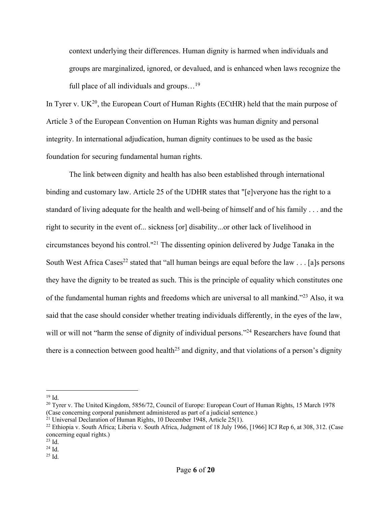context underlying their differences. Human dignity is harmed when individuals and groups are marginalized, ignored, or devalued, and is enhanced when laws recognize the full place of all individuals and groups...<sup>19</sup>

In Tyrer v.  $UK^{20}$ , the European Court of Human Rights (ECtHR) held that the main purpose of Article 3 of the European Convention on Human Rights was human dignity and personal integrity. In international adjudication, human dignity continues to be used as the basic foundation for securing fundamental human rights.

The link between dignity and health has also been established through international binding and customary law. Article 25 of the UDHR states that "[e]veryone has the right to a standard of living adequate for the health and well-being of himself and of his family . . . and the right to security in the event of... sickness [or] disability...or other lack of livelihood in circumstances beyond his control."21 The dissenting opinion delivered by Judge Tanaka in the South West Africa Cases<sup>22</sup> stated that "all human beings are equal before the law . . . [a]s persons they have the dignity to be treated as such. This is the principle of equality which constitutes one of the fundamental human rights and freedoms which are universal to all mankind."23 Also, it wa said that the case should consider whether treating individuals differently, in the eyes of the law, will or will not "harm the sense of dignity of individual persons."<sup>24</sup> Researchers have found that there is a connection between good health<sup>25</sup> and dignity, and that violations of a person's dignity

 <sup>19</sup> Id.

<sup>&</sup>lt;sup>20</sup> Tyrer v. The United Kingdom, 5856/72, Council of Europe: European Court of Human Rights, 15 March 1978 (Case concerning corporal punishment administered as part of a judicial sentence.)

 $21$  Universal Declaration of Human Rights, 10 December 1948, Article 25(1).

 $^{22}$  Ethiopia v. South Africa; Liberia v. South Africa, Judgment of 18 July 1966, [1966] ICJ Rep 6, at 308, 312. (Case concerning equal rights.)

<sup>23</sup> Id.

<sup>24</sup> Id.

 $^{25}$  Id.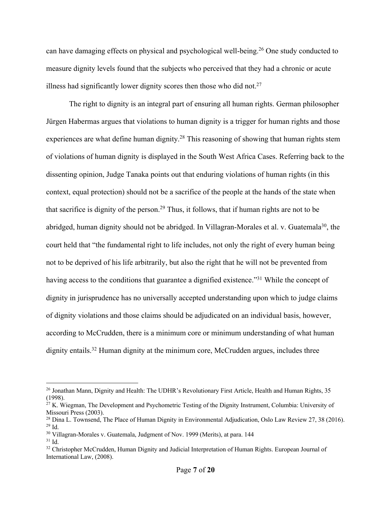can have damaging effects on physical and psychological well-being.26 One study conducted to measure dignity levels found that the subjects who perceived that they had a chronic or acute illness had significantly lower dignity scores then those who did not.<sup>27</sup>

The right to dignity is an integral part of ensuring all human rights. German philosopher Jürgen Habermas argues that violations to human dignity is a trigger for human rights and those experiences are what define human dignity.<sup>28</sup> This reasoning of showing that human rights stem of violations of human dignity is displayed in the South West Africa Cases. Referring back to the dissenting opinion, Judge Tanaka points out that enduring violations of human rights (in this context, equal protection) should not be a sacrifice of the people at the hands of the state when that sacrifice is dignity of the person.29 Thus, it follows, that if human rights are not to be abridged, human dignity should not be abridged. In Villagran-Morales et al. v. Guatemala<sup>30</sup>, the court held that "the fundamental right to life includes, not only the right of every human being not to be deprived of his life arbitrarily, but also the right that he will not be prevented from having access to the conditions that guarantee a dignified existence."31 While the concept of dignity in jurisprudence has no universally accepted understanding upon which to judge claims of dignity violations and those claims should be adjudicated on an individual basis, however, according to McCrudden, there is a minimum core or minimum understanding of what human dignity entails.<sup>32</sup> Human dignity at the minimum core, McCrudden argues, includes three

<sup>&</sup>lt;sup>26</sup> Jonathan Mann, Dignity and Health: The UDHR's Revolutionary First Article, Health and Human Rights, 35 (1998).

 $27$  K. Wiegman, The Development and Psychometric Testing of the Dignity Instrument, Columbia: University of Missouri Press (2003).

<sup>&</sup>lt;sup>28</sup> Dina L. Townsend, The Place of Human Dignity in Environmental Adjudication, Oslo Law Review 27, 38 (2016).  $^{29}$  Id.

<sup>&</sup>lt;sup>30</sup> Villagran-Morales v. Guatemala, Judgment of Nov. 1999 (Merits), at para. 144

<sup>31</sup> Id.

<sup>&</sup>lt;sup>32</sup> Christopher McCrudden, Human Dignity and Judicial Interpretation of Human Rights. European Journal of International Law, (2008).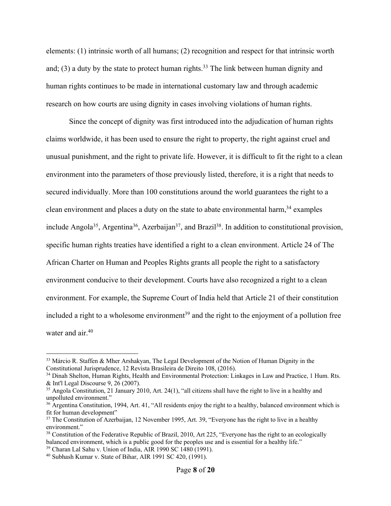elements: (1) intrinsic worth of all humans; (2) recognition and respect for that intrinsic worth and; (3) a duty by the state to protect human rights.<sup>33</sup> The link between human dignity and human rights continues to be made in international customary law and through academic research on how courts are using dignity in cases involving violations of human rights.

Since the concept of dignity was first introduced into the adjudication of human rights claims worldwide, it has been used to ensure the right to property, the right against cruel and unusual punishment, and the right to private life. However, it is difficult to fit the right to a clean environment into the parameters of those previously listed, therefore, it is a right that needs to secured individually. More than 100 constitutions around the world guarantees the right to a clean environment and places a duty on the state to abate environmental harm,<sup>34</sup> examples include Angola<sup>35</sup>, Argentina<sup>36</sup>, Azerbaijan<sup>37</sup>, and Brazil<sup>38</sup>. In addition to constitutional provision, specific human rights treaties have identified a right to a clean environment. Article 24 of The African Charter on Human and Peoples Rights grants all people the right to a satisfactory environment conducive to their development. Courts have also recognized a right to a clean environment. For example, the Supreme Court of India held that Article 21 of their constitution included a right to a wholesome environment<sup>39</sup> and the right to the enjoyment of a pollution free water and  $air<sup>40</sup>$ .

<sup>&</sup>lt;sup>33</sup> Márcio R. Staffen & Mher Arshakyan, The Legal Development of the Notion of Human Dignity in the Constitutional Jurisprudence, 12 Revista Brasileira de Direito 108, (2016).

<sup>&</sup>lt;sup>34</sup> Dinah Shelton, Human Rights, Health and Environmental Protection: Linkages in Law and Practice, 1 Hum. Rts. & Int'l Legal Discourse 9, 26 (2007).

<sup>&</sup>lt;sup>35</sup> Angola Constitution, 21 January 2010, Art. 24(1), "all citizens shall have the right to live in a healthy and unpolluted environment."

 $36$  Argentina Constitution, 1994, Art. 41, "All residents enjoy the right to a healthy, balanced environment which is fit for human development"

<sup>&</sup>lt;sup>37</sup> The Constitution of Azerbaijan, 12 November 1995, Art. 39, "Everyone has the right to live in a healthy environment."

<sup>&</sup>lt;sup>38</sup> Constitution of the Federative Republic of Brazil, 2010, Art 225, "Everyone has the right to an ecologically balanced environment, which is a public good for the peoples use and is essential for a healthy life."

<sup>39</sup> Charan Lal Sahu v. Union of India, AIR 1990 SC 1480 (1991). <sup>40</sup> Subhash Kumar v. State of Bihar, AIR 1991 SC 420, (1991).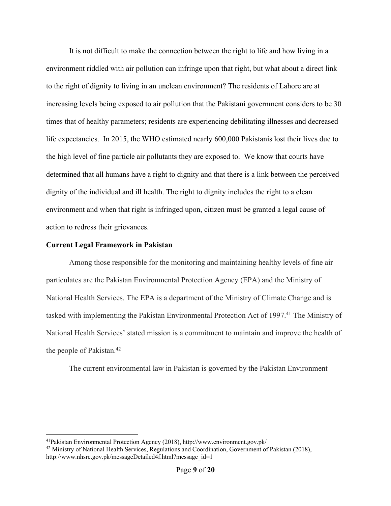It is not difficult to make the connection between the right to life and how living in a environment riddled with air pollution can infringe upon that right, but what about a direct link to the right of dignity to living in an unclean environment? The residents of Lahore are at increasing levels being exposed to air pollution that the Pakistani government considers to be 30 times that of healthy parameters; residents are experiencing debilitating illnesses and decreased life expectancies. In 2015, the WHO estimated nearly 600,000 Pakistanis lost their lives due to the high level of fine particle air pollutants they are exposed to. We know that courts have determined that all humans have a right to dignity and that there is a link between the perceived dignity of the individual and ill health. The right to dignity includes the right to a clean environment and when that right is infringed upon, citizen must be granted a legal cause of action to redress their grievances.

## **Current Legal Framework in Pakistan**

Among those responsible for the monitoring and maintaining healthy levels of fine air particulates are the Pakistan Environmental Protection Agency (EPA) and the Ministry of National Health Services. The EPA is a department of the Ministry of Climate Change and is tasked with implementing the Pakistan Environmental Protection Act of 1997.<sup>41</sup> The Ministry of National Health Services' stated mission is a commitment to maintain and improve the health of the people of Pakistan.42

The current environmental law in Pakistan is governed by the Pakistan Environment

 <sup>41</sup>Pakistan Environmental Protection Agency (2018), http://www.environment.gov.pk/

<sup>42</sup> Ministry of National Health Services, Regulations and Coordination, Government of Pakistan (2018), http://www.nhsrc.gov.pk/messageDetailed4f.html?message\_id=1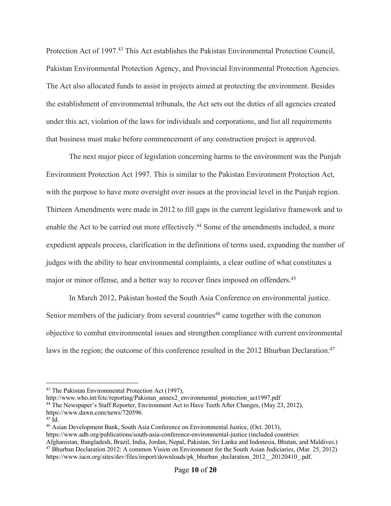Protection Act of 1997.<sup>43</sup> This Act establishes the Pakistan Environmental Protection Council, Pakistan Environmental Protection Agency, and Provincial Environmental Protection Agencies. The Act also allocated funds to assist in projects aimed at protecting the environment. Besides the establishment of environmental tribunals, the Act sets out the duties of all agencies created under this act, violation of the laws for individuals and corporations, and list all requirements that business must make before commencement of any construction project is approved.

The next major piece of legislation concerning harms to the environment was the Punjab Environment Protection Act 1997. This is similar to the Pakistan Environment Protection Act, with the purpose to have more oversight over issues at the provincial level in the Punjab region. Thirteen Amendments were made in 2012 to fill gaps in the current legislative framework and to enable the Act to be carried out more effectively.<sup>44</sup> Some of the amendments included, a more expedient appeals process, clarification in the definitions of terms used, expanding the number of judges with the ability to hear environmental complaints, a clear outline of what constitutes a major or minor offense, and a better way to recover fines imposed on offenders.<sup>45</sup>

In March 2012, Pakistan hosted the South Asia Conference on environmental justice. Senior members of the judiciary from several countries<sup>46</sup> came together with the common objective to combat environmental issues and strengthen compliance with current environmental laws in the region; the outcome of this conference resulted in the 2012 Bhurban Declaration.<sup>47</sup>

<sup>&</sup>lt;sup>43</sup> The Pakistan Environmental Protection Act (1997),

http://www.who.int/fctc/reporting/Pakistan\_annex2\_environmental\_protection\_act1997.pdf

<sup>44</sup> The Newspaper's Staff Reporter, Environment Act to Have Teeth After Changes, (May 23, 2012),

https://www.dawn.com/news/720596.

<sup>45</sup> Id.

<sup>46</sup> Asian Development Bank, South Asia Conference on Environmental Justice, (Oct. 2013),

https://www.adb.org/publications/south-asia-conference-environmental-justice (included countries:

Afghanistan, Bangladesh, Brazil, India, Jordan, Nepal, Pakistan, Sri Lanka and Indonesia, Bhutan, and Maldives.) <sup>47</sup> Bhurban Declaration 2012: A common Vision on Environment for the South Asian Judiciaries, (Mar. 25, 2012) https://www.iucn.org/sites/dev/files/import/downloads/pk\_bhurban\_declaration\_2012\_\_20120410\_.pdf.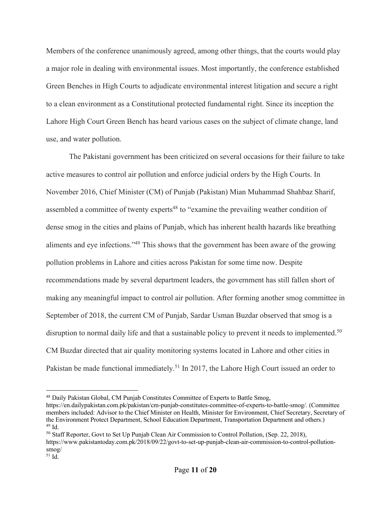Members of the conference unanimously agreed, among other things, that the courts would play a major role in dealing with environmental issues. Most importantly, the conference established Green Benches in High Courts to adjudicate environmental interest litigation and secure a right to a clean environment as a Constitutional protected fundamental right. Since its inception the Lahore High Court Green Bench has heard various cases on the subject of climate change, land use, and water pollution.

The Pakistani government has been criticized on several occasions for their failure to take active measures to control air pollution and enforce judicial orders by the High Courts. In November 2016, Chief Minister (CM) of Punjab (Pakistan) Mian Muhammad Shahbaz Sharif, assembled a committee of twenty experts<sup>48</sup> to "examine the prevailing weather condition of dense smog in the cities and plains of Punjab, which has inherent health hazards like breathing aliments and eye infections."49 This shows that the government has been aware of the growing pollution problems in Lahore and cities across Pakistan for some time now. Despite recommendations made by several department leaders, the government has still fallen short of making any meaningful impact to control air pollution. After forming another smog committee in September of 2018, the current CM of Punjab, Sardar Usman Buzdar observed that smog is a disruption to normal daily life and that a sustainable policy to prevent it needs to implemented.<sup>50</sup> CM Buzdar directed that air quality monitoring systems located in Lahore and other cities in Pakistan be made functional immediately.<sup>51</sup> In 2017, the Lahore High Court issued an order to

 <sup>48</sup> Daily Pakistan Global, CM Punjab Constitutes Committee of Experts to Battle Smog,

https://en.dailypakistan.com.pk/pakistan/cm-punjab-constitutes-committee-of-experts-to-battle-smog/. (Committee members included: Advisor to the Chief Minister on Health, Minister for Environment, Chief Secretary, Secretary of the Environment Protect Department, School Education Department, Transportation Department and others.)  $49$  Id.

<sup>&</sup>lt;sup>50</sup> Staff Reporter, Govt to Set Up Punjab Clean Air Commission to Control Pollution, (Sep. 22, 2018),

https://www.pakistantoday.com.pk/2018/09/22/govt-to-set-up-punjab-clean-air-commission-to-control-pollutionsmog/

 $51$  Id.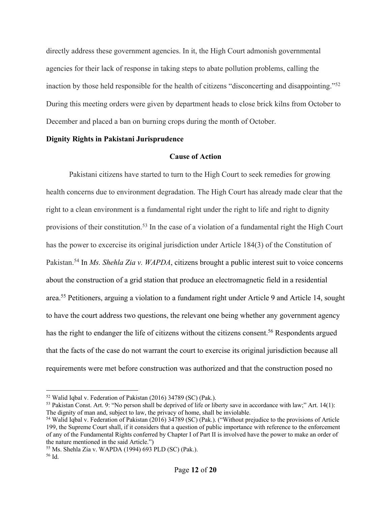directly address these government agencies. In it, the High Court admonish governmental agencies for their lack of response in taking steps to abate pollution problems, calling the inaction by those held responsible for the health of citizens "disconcerting and disappointing."52 During this meeting orders were given by department heads to close brick kilns from October to December and placed a ban on burning crops during the month of October.

## **Dignity Rights in Pakistani Jurisprudence**

## **Cause of Action**

Pakistani citizens have started to turn to the High Court to seek remedies for growing health concerns due to environment degradation. The High Court has already made clear that the right to a clean environment is a fundamental right under the right to life and right to dignity provisions of their constitution.<sup>53</sup> In the case of a violation of a fundamental right the High Court has the power to excercise its original jurisdiction under Article 184(3) of the Constitution of Pakistan.54 In *Ms. Shehla Zia v. WAPDA*, citizens brought a public interest suit to voice concerns about the construction of a grid station that produce an electromagnetic field in a residential area.55 Petitioners, arguing a violation to a fundament right under Article 9 and Article 14, sought to have the court address two questions, the relevant one being whether any government agency has the right to endanger the life of citizens without the citizens consent.<sup>56</sup> Respondents argued that the facts of the case do not warrant the court to exercise its original jurisdiction because all requirements were met before construction was authorized and that the construction posed no

 <sup>52</sup> Walid Iqbal v. Federation of Pakistan (2016) 34789 (SC) (Pak.).

<sup>53</sup> Pakistan Const. Art. 9: "No person shall be deprived of life or liberty save in accordance with law;" Art. 14(1): The dignity of man and, subject to law, the privacy of home, shall be inviolable.

<sup>54</sup> Walid Iqbal v. Federation of Pakistan (2016) 34789 (SC) (Pak.). ("Without prejudice to the provisions of Article 199, the Supreme Court shall, if it considers that a question of public importance with reference to the enforcement of any of the Fundamental Rights conferred by Chapter I of Part II is involved have the power to make an order of the nature mentioned in the said Article.")

<sup>&</sup>lt;sup>55</sup> Ms. Shehla Zia v. WAPDA (1994) 693 PLD (SC) (Pak.).<br><sup>56</sup> Id.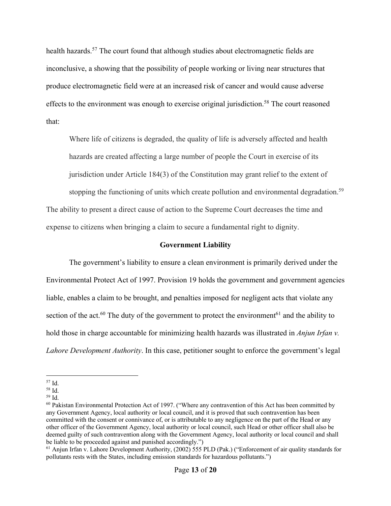health hazards.<sup>57</sup> The court found that although studies about electromagnetic fields are inconclusive, a showing that the possibility of people working or living near structures that produce electromagnetic field were at an increased risk of cancer and would cause adverse effects to the environment was enough to exercise original jurisdiction.<sup>58</sup> The court reasoned that:

Where life of citizens is degraded, the quality of life is adversely affected and health hazards are created affecting a large number of people the Court in exercise of its jurisdiction under Article 184(3) of the Constitution may grant relief to the extent of stopping the functioning of units which create pollution and environmental degradation.<sup>59</sup> The ability to present a direct cause of action to the Supreme Court decreases the time and

## **Government Liability**

expense to citizens when bringing a claim to secure a fundamental right to dignity.

The government's liability to ensure a clean environment is primarily derived under the Environmental Protect Act of 1997. Provision 19 holds the government and government agencies liable, enables a claim to be brought, and penalties imposed for negligent acts that violate any section of the act.<sup>60</sup> The duty of the government to protect the environment<sup>61</sup> and the ability to hold those in charge accountable for minimizing health hazards was illustrated in *Anjun Irfan v. Lahore Development Authority*. In this case, petitioner sought to enforce the government's legal

 <sup>57</sup> Id.

 $^{58}$  Id.  $\,$ 

<sup>59</sup> Id.

<sup>&</sup>lt;sup>60</sup> Pakistan Environmental Protection Act of 1997. ("Where any contravention of this Act has been committed by any Government Agency, local authority or local council, and it is proved that such contravention has been committed with the consent or connivance of, or is attributable to any negligence on the part of the Head or any other officer of the Government Agency, local authority or local council, such Head or other officer shall also be deemed guilty of such contravention along with the Government Agency, local authority or local council and shall be liable to be proceeded against and punished accordingly.")

<sup>&</sup>lt;sup>61</sup> Anjun Irfan v. Lahore Development Authority, (2002) 555 PLD (Pak.) ("Enforcement of air quality standards for pollutants rests with the States, including emission standards for hazardous pollutants.")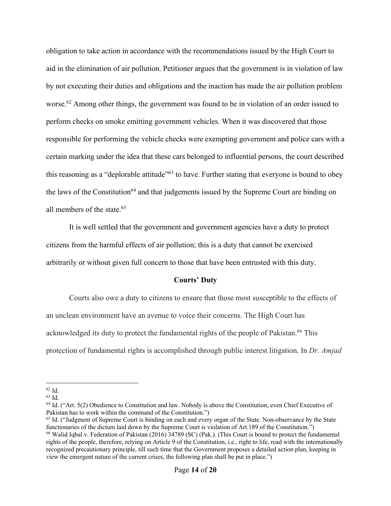obligation to take action in accordance with the recommendations issued by the High Court to aid in the elimination of air pollution. Petitioner argues that the government is in violation of law by not executing their duties and obligations and the inaction has made the air pollution problem worse.<sup>62</sup> Among other things, the government was found to be in violation of an order issued to perform checks on smoke emitting government vehicles. When it was discovered that those responsible for performing the vehicle checks were exempting government and police cars with a certain marking under the idea that these cars belonged to influential persons, the court described this reasoning as a "deplorable attitude"<sup>63</sup> to have. Further stating that everyone is bound to obey the laws of the Constitution<sup>64</sup> and that judgements issued by the Supreme Court are binding on all members of the state.65

It is well settled that the government and government agencies have a duty to protect citizens from the harmful effects of air pollution; this is a duty that cannot be exercised arbitrarily or without given full concern to those that have been entrusted with this duty.

#### **Courts' Duty**

Courts also owe a duty to citizens to ensure that those most susceptible to the effects of an unclean environment have an avenue to voice their concerns. The High Court has acknowledged its duty to protect the fundamental rights of the people of Pakistan.<sup>66</sup> This protection of fundamental rights is accomplished through public interest litigation. In *Dr. Amjad* 

 <sup>62</sup> Id.

<sup>63</sup> Id.

<sup>&</sup>lt;sup>64</sup> Id. ("Art. 5(2) Obedience to Constitution and law. Nobody is above the Constitution, even Chief Executive of Pakistan has to work within the command of the Constitution.")

<sup>&</sup>lt;sup>65</sup> Id. ("Judgment of Supreme Court is binding on each and every organ of the State. Non-observance by the State functionaries of the dictum laid down by the Supreme Court is violation of Art.189 of the Constitution.") <sup>66</sup> Walid Iqbal v. Federation of Pakistan (2016) 34789 (SC) (Pak.). (This Court is bound to protect the fundamental rights of the people, therefore, relying on Article 9 of the Constitution, i.e., right to life, read with the internationally recognized precautionary principle, till such time that the Government proposes a detailed action plan, keeping in view the emergent nature of the current crises, the following plan shall be put in place.")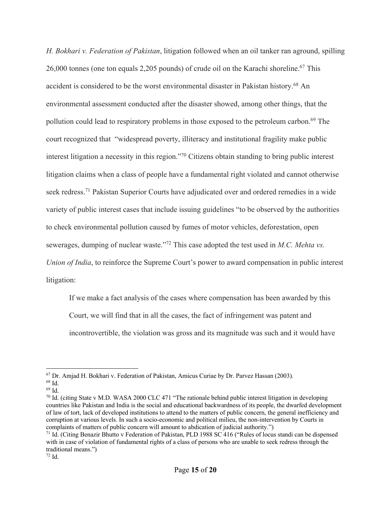*H. Bokhari v. Federation of Pakistan*, litigation followed when an oil tanker ran aground, spilling 26,000 tonnes (one ton equals 2,205 pounds) of crude oil on the Karachi shoreline.<sup>67</sup> This accident is considered to be the worst environmental disaster in Pakistan history.68 An environmental assessment conducted after the disaster showed, among other things, that the pollution could lead to respiratory problems in those exposed to the petroleum carbon.<sup>69</sup> The court recognized that "widespread poverty, illiteracy and institutional fragility make public interest litigation a necessity in this region."70 Citizens obtain standing to bring public interest litigation claims when a class of people have a fundamental right violated and cannot otherwise seek redress.<sup>71</sup> Pakistan Superior Courts have adjudicated over and ordered remedies in a wide variety of public interest cases that include issuing guidelines "to be observed by the authorities to check environmental pollution caused by fumes of motor vehicles, deforestation, open sewerages, dumping of nuclear waste."72 This case adopted the test used in *M.C. Mehta vs. Union of India*, to reinforce the Supreme Court's power to award compensation in public interest litigation:

If we make a fact analysis of the cases where compensation has been awarded by this

Court, we will find that in all the cases, the fact of infringement was patent and

incontrovertible, the violation was gross and its magnitude was such and it would have

 $67$  Dr. Amjad H. Bokhari v. Federation of Pakistan, Amicus Curiae by Dr. Parvez Hassan (2003).

<sup>68</sup> Id.

 $^{69}$  Id.

 $^{70}$  Id. (citing State v M.D. WASA 2000 CLC 471 "The rationale behind public interest litigation in developing countries like Pakistan and India is the social and educational backwardness of its people, the dwarfed development of law of tort, lack of developed institutions to attend to the matters of public concern, the general inefficiency and corruption at various levels. In such a socio-economic and political milieu, the non-intervention by Courts in complaints of matters of public concern will amount to abdication of judicial authority.")

<sup>&</sup>lt;sup>71</sup> Id. (Citing Benazir Bhutto v Federation of Pakistan, PLD 1988 SC 416 ("Rules of locus standi can be dispensed with in case of violation of fundamental rights of a class of persons who are unable to seek redress through the traditional means.")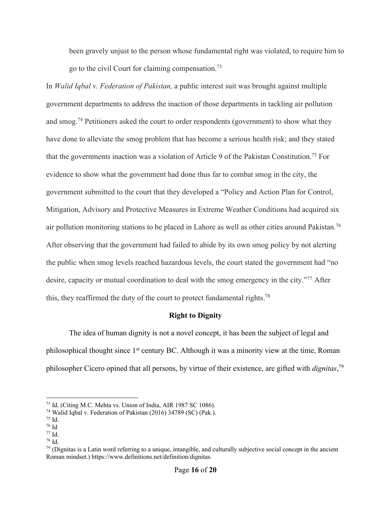been gravely unjust to the person whose fundamental right was violated, to require him to go to the civil Court for claiming compensation.73

In *Walid Iqbal v. Federation of Pakistan,* a public interest suit was brought against multiple government departments to address the inaction of those departments in tackling air pollution and smog.<sup>74</sup> Petitioners asked the court to order respondents (government) to show what they have done to alleviate the smog problem that has become a serious health risk; and they stated that the governments inaction was a violation of Article 9 of the Pakistan Constitution.<sup>75</sup> For evidence to show what the government had done thus far to combat smog in the city, the government submitted to the court that they developed a "Policy and Action Plan for Control, Mitigation, Advisory and Protective Measures in Extreme Weather Conditions had acquired six air pollution monitoring stations to be placed in Lahore as well as other cities around Pakistan.<sup>76</sup> After observing that the government had failed to abide by its own smog policy by not alerting the public when smog levels reached hazardous levels, the court stated the government had "no desire, capacity or mutual coordination to deal with the smog emergency in the city."<sup>77</sup> After this, they reaffirmed the duty of the court to protect fundamental rights.<sup>78</sup>

#### **Right to Dignity**

The idea of human dignity is not a novel concept, it has been the subject of legal and philosophical thought since 1<sup>st</sup> century BC. Although it was a minority view at the time, Roman philosopher Cicero opined that all persons, by virtue of their existence, are gifted with *dignitas*, 79

 <sup>73</sup> Id. (Citing M.C. Mehta vs. Union of India, AIR 1987 SC 1086).

<sup>74</sup> Walid Iqbal v. Federation of Pakistan (2016) 34789 (SC) (Pak.).

<sup>75</sup> Id.

<sup>76</sup> Id

<sup>77</sup> Id.

<sup>78</sup> Id.

 $79$  (Dignitas is a Latin word referring to a unique, intangible, and culturally subjective social concept in the ancient Roman mindset.) https://www.definitions.net/definition/dignitas.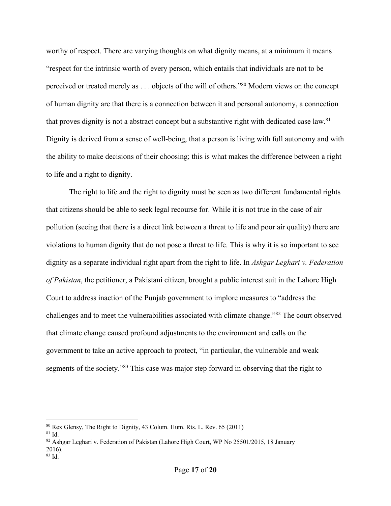worthy of respect. There are varying thoughts on what dignity means, at a minimum it means "respect for the intrinsic worth of every person, which entails that individuals are not to be perceived or treated merely as . . . objects of the will of others."80 Modern views on the concept of human dignity are that there is a connection between it and personal autonomy, a connection that proves dignity is not a abstract concept but a substantive right with dedicated case law.<sup>81</sup> Dignity is derived from a sense of well-being, that a person is living with full autonomy and with the ability to make decisions of their choosing; this is what makes the difference between a right to life and a right to dignity.

The right to life and the right to dignity must be seen as two different fundamental rights that citizens should be able to seek legal recourse for. While it is not true in the case of air pollution (seeing that there is a direct link between a threat to life and poor air quality) there are violations to human dignity that do not pose a threat to life. This is why it is so important to see dignity as a separate individual right apart from the right to life. In *Ashgar Leghari v. Federation of Pakistan*, the petitioner, a Pakistani citizen, brought a public interest suit in the Lahore High Court to address inaction of the Punjab government to implore measures to "address the challenges and to meet the vulnerabilities associated with climate change."82 The court observed that climate change caused profound adjustments to the environment and calls on the government to take an active approach to protect, "in particular, the vulnerable and weak segments of the society."<sup>83</sup> This case was major step forward in observing that the right to

 <sup>80</sup> Rex Glensy, The Right to Dignity, 43 Colum. Hum. Rts. L. Rev. 65 (2011)

 $81$  Id.

<sup>82</sup> Ashgar Leghari v. Federation of Pakistan (Lahore High Court, WP No 25501/2015, 18 January 2016). <sup>83</sup> Id.

Page **17** of **20**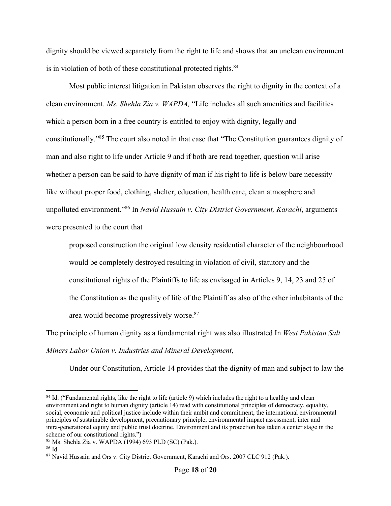dignity should be viewed separately from the right to life and shows that an unclean environment is in violation of both of these constitutional protected rights.<sup>84</sup>

Most public interest litigation in Pakistan observes the right to dignity in the context of a clean environment. *Ms. Shehla Zia v. WAPDA,* "Life includes all such amenities and facilities which a person born in a free country is entitled to enjoy with dignity, legally and constitutionally."85 The court also noted in that case that "The Constitution guarantees dignity of man and also right to life under Article 9 and if both are read together, question will arise whether a person can be said to have dignity of man if his right to life is below bare necessity like without proper food, clothing, shelter, education, health care, clean atmosphere and unpolluted environment."86 In *Navid Hussain v. City District Government, Karachi*, arguments were presented to the court that

proposed construction the original low density residential character of the neighbourhood would be completely destroyed resulting in violation of civil, statutory and the constitutional rights of the Plaintiffs to life as envisaged in Articles 9, 14, 23 and 25 of the Constitution as the quality of life of the Plaintiff as also of the other inhabitants of the area would become progressively worse.87

The principle of human dignity as a fundamental right was also illustrated In *West Pakistan Salt Miners Labor Union v. Industries and Mineral Development*,

Under our Constitution, Article 14 provides that the dignity of man and subject to law the

<sup>&</sup>lt;sup>84</sup> Id. ("Fundamental rights, like the right to life (article 9) which includes the right to a healthy and clean environment and right to human dignity (article 14) read with constitutional principles of democracy, equality, social, economic and political justice include within their ambit and commitment, the international environmental principles of sustainable development, precautionary principle, environmental impact assessment, inter and intra-generational equity and public trust doctrine. Environment and its protection has taken a center stage in the scheme of our constitutional rights.")

<sup>85</sup> Ms. Shehla Zia v. WAPDA (1994) 693 PLD (SC) (Pak.).

<sup>86</sup> Id.

<sup>87</sup> Navid Hussain and Ors v. City District Government, Karachi and Ors. 2007 CLC 912 (Pak.).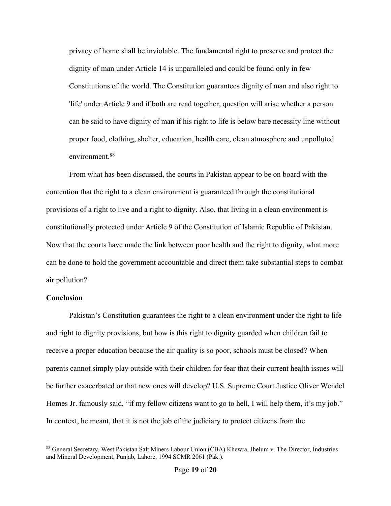privacy of home shall be inviolable. The fundamental right to preserve and protect the dignity of man under Article 14 is unparalleled and could be found only in few Constitutions of the world. The Constitution guarantees dignity of man and also right to 'life' under Article 9 and if both are read together, question will arise whether a person can be said to have dignity of man if his right to life is below bare necessity line without proper food, clothing, shelter, education, health care, clean atmosphere and unpolluted environment.<sup>88</sup>

From what has been discussed, the courts in Pakistan appear to be on board with the contention that the right to a clean environment is guaranteed through the constitutional provisions of a right to live and a right to dignity. Also, that living in a clean environment is constitutionally protected under Article 9 of the Constitution of Islamic Republic of Pakistan. Now that the courts have made the link between poor health and the right to dignity, what more can be done to hold the government accountable and direct them take substantial steps to combat air pollution?

## **Conclusion**

Pakistan's Constitution guarantees the right to a clean environment under the right to life and right to dignity provisions, but how is this right to dignity guarded when children fail to receive a proper education because the air quality is so poor, schools must be closed? When parents cannot simply play outside with their children for fear that their current health issues will be further exacerbated or that new ones will develop? U.S. Supreme Court Justice Oliver Wendel Homes Jr. famously said, "if my fellow citizens want to go to hell, I will help them, it's my job." In context, he meant, that it is not the job of the judiciary to protect citizens from the

<sup>88</sup> General Secretary, West Pakistan Salt Miners Labour Union (CBA) Khewra, Jhelum v. The Director, Industries and Mineral Development, Punjab, Lahore, 1994 SCMR 2061 (Pak.).